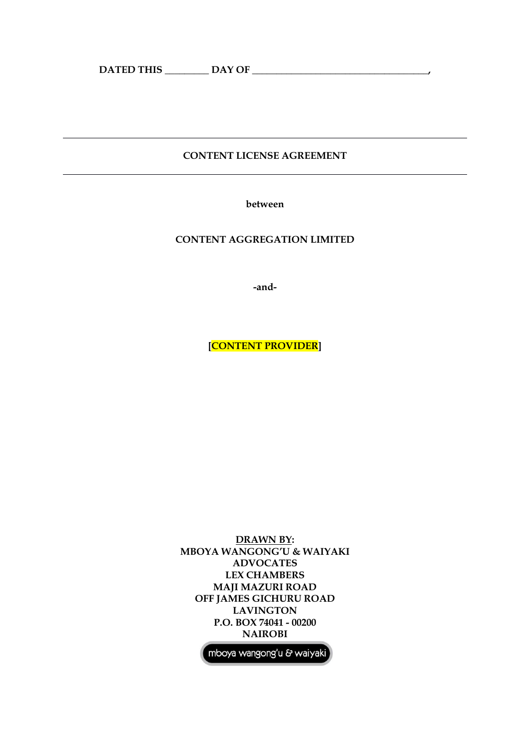# **CONTENT LICENSE AGREEMENT**

**between**

# **CONTENT AGGREGATION LIMITED**

**-and-**

**[CONTENT PROVIDER]**

**DRAWN BY: MBOYA WANGONG'U & WAIYAKI ADVOCATES LEX CHAMBERS MAJI MAZURI ROAD OFF JAMES GICHURU ROAD LAVINGTON P.O. BOX 74041 - 00200 NAIROBI**

mboya wangong'u & waiyaki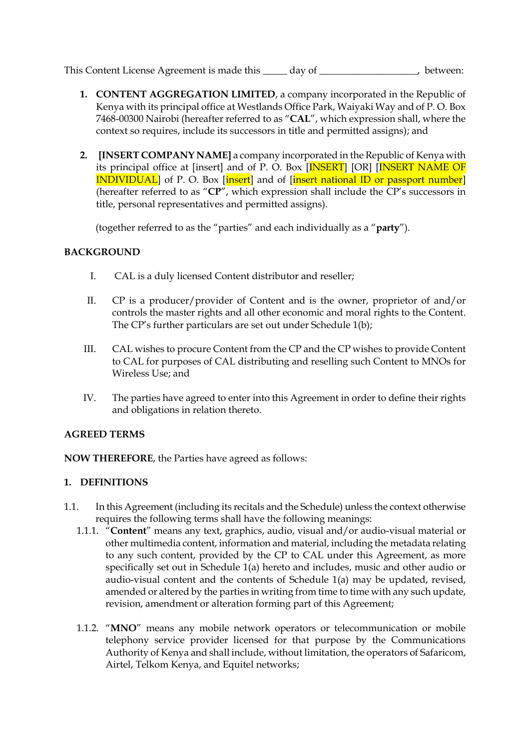- **1. CONTENT AGGREGATION LIMITED**, a company incorporated in the Republic of Kenya with its principal office at Westlands Office Park, Waiyaki Way and of P. O. Box 7468-00300 Nairobi (hereafter referred to as "**CAL**", which expression shall, where the context so requires, include its successors in title and permitted assigns); and
- **2. [INSERT COMPANY NAME]** a company incorporated in the Republic of Kenya with its principal office at [insert] and of P. O. Box [INSERT] [OR] [INSERT NAME OF **INDIVIDUAL** of P. O. Box [insert] and of [insert national ID or passport number] (hereafter referred to as "**CP**", which expression shall include the CP's successors in title, personal representatives and permitted assigns).

(together referred to as the "parties" and each individually as a "**party**").

# **BACKGROUND**

- I. CAL is a duly licensed Content distributor and reseller;
- II. CP is a producer/provider of Content and is the owner, proprietor of and/or controls the master rights and all other economic and moral rights to the Content. The CP's further particulars are set out under Schedule 1(b);
- III. CAL wishes to procure Content from the CP and the CP wishes to provide Content to CAL for purposes of CAL distributing and reselling such Content to MNOs for Wireless Use; and
- IV. The parties have agreed to enter into this Agreement in order to define their rights and obligations in relation thereto.

## **AGREED TERMS**

**NOW THEREFORE**, the Parties have agreed as follows:

# **1. DEFINITIONS**

- 1.1. In this Agreement (including its recitals and the Schedule) unless the context otherwise requires the following terms shall have the following meanings:
	- 1.1.1. "**Content**" means any text, graphics, audio, visual and/or audio-visual material or other multimedia content, information and material, including the metadata relating to any such content, provided by the CP to CAL under this Agreement, as more specifically set out in Schedule 1(a) hereto and includes, music and other audio or audio-visual content and the contents of Schedule 1(a) may be updated, revised, amended or altered by the parties in writing from time to time with any such update, revision, amendment or alteration forming part of this Agreement;
	- 1.1.2. "**MNO**" means any mobile network operators or telecommunication or mobile telephony service provider licensed for that purpose by the Communications Authority of Kenya and shall include, without limitation, the operators of Safaricom, Airtel, Telkom Kenya, and Equitel networks;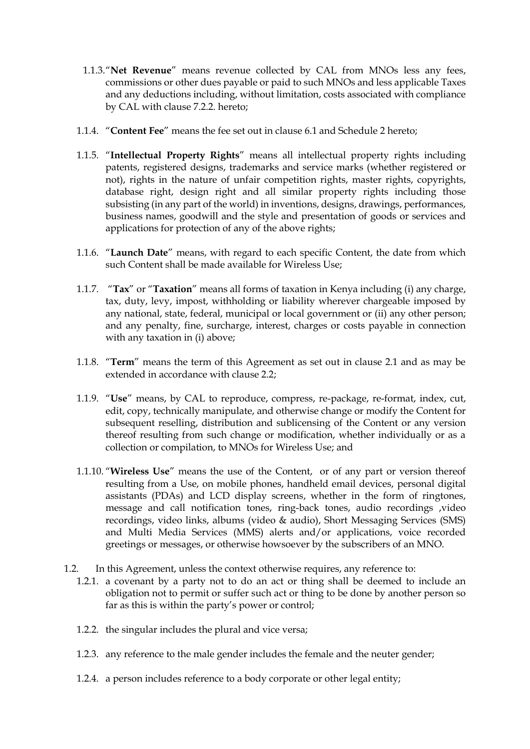- 1.1.3."**Net Revenue**" means revenue collected by CAL from MNOs less any fees, commissions or other dues payable or paid to such MNOs and less applicable Taxes and any deductions including, without limitation, costs associated with compliance by CAL with clause 7.2.2. hereto;
- 1.1.4. "**Content Fee**" means the fee set out in clause 6.1 and Schedule 2 hereto;
- 1.1.5. "**Intellectual Property Rights**" means all intellectual property rights including patents, registered designs, trademarks and service marks (whether registered or not), rights in the nature of unfair competition rights, master rights, copyrights, database right, design right and all similar property rights including those subsisting (in any part of the world) in inventions, designs, drawings, performances, business names, goodwill and the style and presentation of goods or services and applications for protection of any of the above rights;
- 1.1.6. "**Launch Date**" means, with regard to each specific Content, the date from which such Content shall be made available for Wireless Use;
- 1.1.7. "**Tax**" or "**Taxation**" means all forms of taxation in Kenya including (i) any charge, tax, duty, levy, impost, withholding or liability wherever chargeable imposed by any national, state, federal, municipal or local government or (ii) any other person; and any penalty, fine, surcharge, interest, charges or costs payable in connection with any taxation in (i) above;
- 1.1.8. "**Term**" means the term of this Agreement as set out in clause 2.1 and as may be extended in accordance with clause 2.2;
- 1.1.9. "**Use**" means, by CAL to reproduce, compress, re-package, re-format, index, cut, edit, copy, technically manipulate, and otherwise change or modify the Content for subsequent reselling, distribution and sublicensing of the Content or any version thereof resulting from such change or modification, whether individually or as a collection or compilation, to MNOs for Wireless Use; and
- 1.1.10. "**Wireless Use**" means the use of the Content, or of any part or version thereof resulting from a Use, on mobile phones, handheld email devices, personal digital assistants (PDAs) and LCD display screens, whether in the form of ringtones, message and call notification tones, ring-back tones, audio recordings ,video recordings, video links, albums (video & audio), Short Messaging Services (SMS) and Multi Media Services (MMS) alerts and/or applications, voice recorded greetings or messages, or otherwise howsoever by the subscribers of an MNO.
- 1.2. In this Agreement, unless the context otherwise requires, any reference to:
	- 1.2.1. a covenant by a party not to do an act or thing shall be deemed to include an obligation not to permit or suffer such act or thing to be done by another person so far as this is within the party's power or control;
	- 1.2.2. the singular includes the plural and vice versa;
	- 1.2.3. any reference to the male gender includes the female and the neuter gender;
	- 1.2.4. a person includes reference to a body corporate or other legal entity;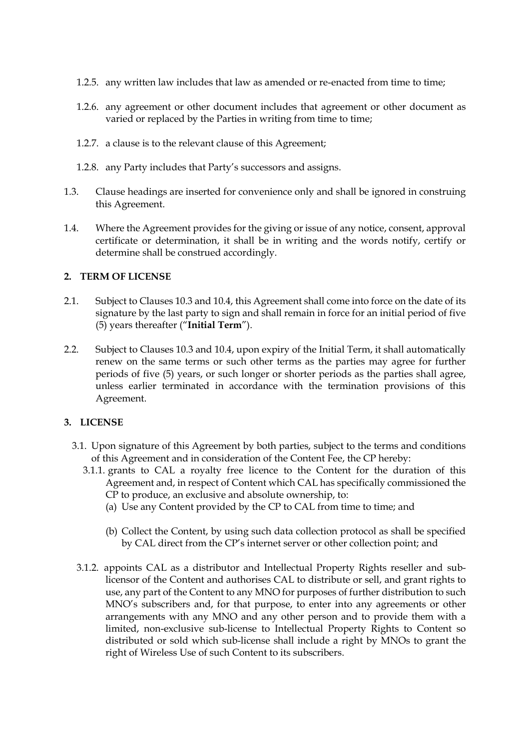- 1.2.5. any written law includes that law as amended or re-enacted from time to time;
- 1.2.6. any agreement or other document includes that agreement or other document as varied or replaced by the Parties in writing from time to time;
- 1.2.7. a clause is to the relevant clause of this Agreement;
- 1.2.8. any Party includes that Party's successors and assigns.
- 1.3. Clause headings are inserted for convenience only and shall be ignored in construing this Agreement.
- 1.4. Where the Agreement provides for the giving or issue of any notice, consent, approval certificate or determination, it shall be in writing and the words notify, certify or determine shall be construed accordingly.

# **2. TERM OF LICENSE**

- 2.1. Subject to Clauses 10.3 and 10.4, this Agreement shall come into force on the date of its signature by the last party to sign and shall remain in force for an initial period of five (5) years thereafter ("**Initial Term**").
- 2.2. Subject to Clauses 10.3 and 10.4, upon expiry of the Initial Term, it shall automatically renew on the same terms or such other terms as the parties may agree for further periods of five (5) years, or such longer or shorter periods as the parties shall agree, unless earlier terminated in accordance with the termination provisions of this Agreement.

## **3. LICENSE**

- 3.1. Upon signature of this Agreement by both parties, subject to the terms and conditions of this Agreement and in consideration of the Content Fee, the CP hereby:
	- 3.1.1. grants to CAL a royalty free licence to the Content for the duration of this Agreement and, in respect of Content which CAL has specifically commissioned the CP to produce, an exclusive and absolute ownership, to:
		- (a) Use any Content provided by the CP to CAL from time to time; and
		- (b) Collect the Content, by using such data collection protocol as shall be specified by CAL direct from the CP's internet server or other collection point; and
- 3.1.2. appoints CAL as a distributor and Intellectual Property Rights reseller and sublicensor of the Content and authorises CAL to distribute or sell, and grant rights to use, any part of the Content to any MNO for purposes of further distribution to such MNO's subscribers and, for that purpose, to enter into any agreements or other arrangements with any MNO and any other person and to provide them with a limited, non-exclusive sub-license to Intellectual Property Rights to Content so distributed or sold which sub-license shall include a right by MNOs to grant the right of Wireless Use of such Content to its subscribers.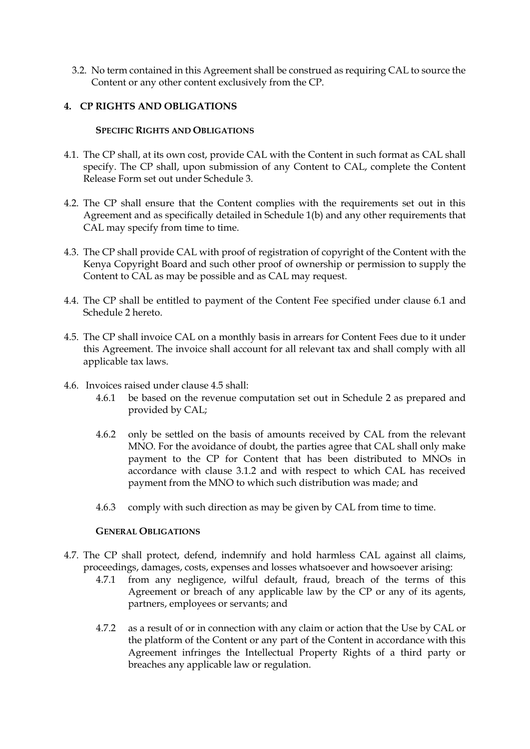3.2. No term contained in this Agreement shall be construed as requiring CAL to source the Content or any other content exclusively from the CP.

# **4. CP RIGHTS AND OBLIGATIONS**

## **SPECIFIC RIGHTS AND OBLIGATIONS**

- 4.1. The CP shall, at its own cost, provide CAL with the Content in such format as CAL shall specify. The CP shall, upon submission of any Content to CAL, complete the Content Release Form set out under Schedule 3.
- 4.2. The CP shall ensure that the Content complies with the requirements set out in this Agreement and as specifically detailed in Schedule 1(b) and any other requirements that CAL may specify from time to time.
- 4.3. The CP shall provide CAL with proof of registration of copyright of the Content with the Kenya Copyright Board and such other proof of ownership or permission to supply the Content to CAL as may be possible and as CAL may request.
- 4.4. The CP shall be entitled to payment of the Content Fee specified under clause 6.1 and Schedule 2 hereto.
- 4.5. The CP shall invoice CAL on a monthly basis in arrears for Content Fees due to it under this Agreement. The invoice shall account for all relevant tax and shall comply with all applicable tax laws.
- 4.6. Invoices raised under clause 4.5 shall:
	- 4.6.1 be based on the revenue computation set out in Schedule 2 as prepared and provided by CAL;
	- 4.6.2 only be settled on the basis of amounts received by CAL from the relevant MNO. For the avoidance of doubt, the parties agree that CAL shall only make payment to the CP for Content that has been distributed to MNOs in accordance with clause 3.1.2 and with respect to which CAL has received payment from the MNO to which such distribution was made; and
	- 4.6.3 comply with such direction as may be given by CAL from time to time.

#### **GENERAL OBLIGATIONS**

- 4.7. The CP shall protect, defend, indemnify and hold harmless CAL against all claims, proceedings, damages, costs, expenses and losses whatsoever and howsoever arising:
	- 4.7.1 from any negligence, wilful default, fraud, breach of the terms of this Agreement or breach of any applicable law by the CP or any of its agents, partners, employees or servants; and
	- 4.7.2 as a result of or in connection with any claim or action that the Use by CAL or the platform of the Content or any part of the Content in accordance with this Agreement infringes the Intellectual Property Rights of a third party or breaches any applicable law or regulation.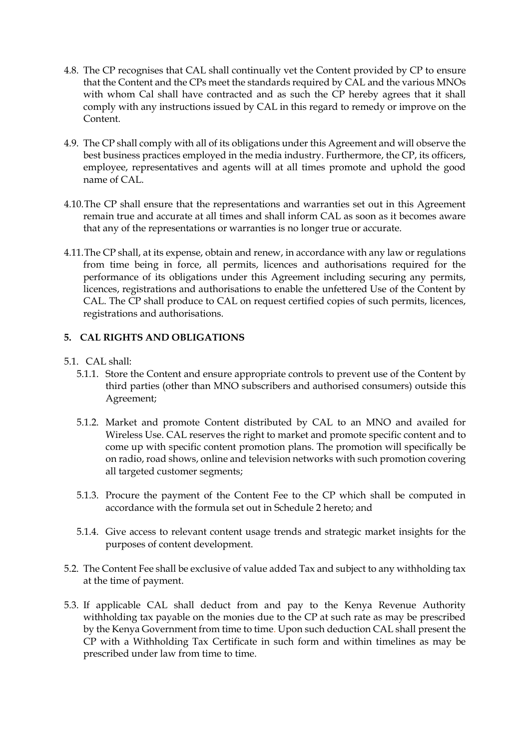- 4.8. The CP recognises that CAL shall continually vet the Content provided by CP to ensure that the Content and the CPs meet the standards required by CAL and the various MNOs with whom Cal shall have contracted and as such the CP hereby agrees that it shall comply with any instructions issued by CAL in this regard to remedy or improve on the Content.
- 4.9. The CP shall comply with all of its obligations under this Agreement and will observe the best business practices employed in the media industry. Furthermore, the CP, its officers, employee, representatives and agents will at all times promote and uphold the good name of CAL.
- 4.10.The CP shall ensure that the representations and warranties set out in this Agreement remain true and accurate at all times and shall inform CAL as soon as it becomes aware that any of the representations or warranties is no longer true or accurate.
- 4.11.The CP shall, at its expense, obtain and renew, in accordance with any law or regulations from time being in force, all permits, licences and authorisations required for the performance of its obligations under this Agreement including securing any permits, licences, registrations and authorisations to enable the unfettered Use of the Content by CAL. The CP shall produce to CAL on request certified copies of such permits, licences, registrations and authorisations.

# **5. CAL RIGHTS AND OBLIGATIONS**

## 5.1. CAL shall:

- 5.1.1. Store the Content and ensure appropriate controls to prevent use of the Content by third parties (other than MNO subscribers and authorised consumers) outside this Agreement;
- 5.1.2. Market and promote Content distributed by CAL to an MNO and availed for Wireless Use. CAL reserves the right to market and promote specific content and to come up with specific content promotion plans. The promotion will specifically be on radio, road shows, online and television networks with such promotion covering all targeted customer segments;
- 5.1.3. Procure the payment of the Content Fee to the CP which shall be computed in accordance with the formula set out in Schedule 2 hereto; and
- 5.1.4. Give access to relevant content usage trends and strategic market insights for the purposes of content development.
- 5.2. The Content Fee shall be exclusive of value added Tax and subject to any withholding tax at the time of payment.
- 5.3. If applicable CAL shall deduct from and pay to the Kenya Revenue Authority withholding tax payable on the monies due to the CP at such rate as may be prescribed by the Kenya Government from time to time. Upon such deduction CAL shall present the CP with a Withholding Tax Certificate in such form and within timelines as may be prescribed under law from time to time.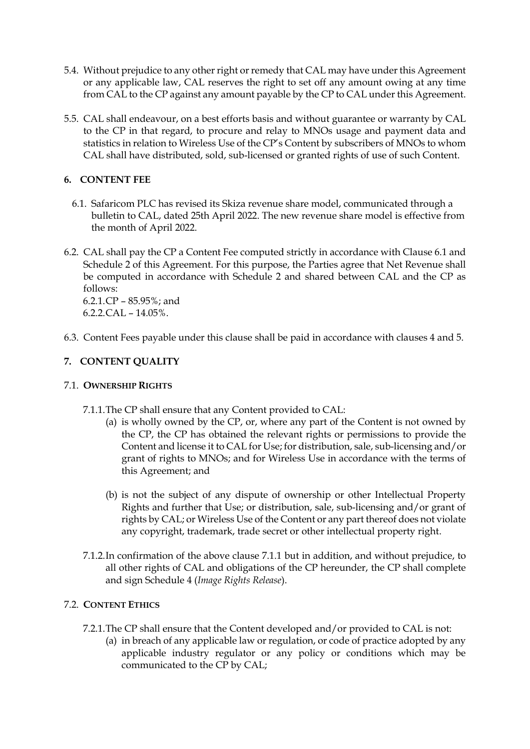- 5.4. Without prejudice to any other right or remedy that CAL may have under this Agreement or any applicable law, CAL reserves the right to set off any amount owing at any time from CAL to the CP against any amount payable by the CP to CAL under this Agreement.
- 5.5. CAL shall endeavour, on a best efforts basis and without guarantee or warranty by CAL to the CP in that regard, to procure and relay to MNOs usage and payment data and statistics in relation to Wireless Use of the CP's Content by subscribers of MNOs to whom CAL shall have distributed, sold, sub-licensed or granted rights of use of such Content.

# **6. CONTENT FEE**

- 6.1. Safaricom PLC has revised its Skiza revenue share model, communicated through a bulletin to CAL, dated 25th April 2022. The new revenue share model is effective from the month of April 2022.
- 6.2. CAL shall pay the CP a Content Fee computed strictly in accordance with Clause 6.1 and Schedule 2 of this Agreement. For this purpose, the Parties agree that Net Revenue shall be computed in accordance with Schedule 2 and shared between CAL and the CP as follows: 6.2.1.CP – 85.95%; and

 $6.2.2 \text{ CAL} - 14.05\%$ .

6.3. Content Fees payable under this clause shall be paid in accordance with clauses 4 and 5.

# **7. CONTENT QUALITY**

# 7.1. **OWNERSHIP RIGHTS**

- 7.1.1.The CP shall ensure that any Content provided to CAL:
	- (a) is wholly owned by the CP, or, where any part of the Content is not owned by the CP, the CP has obtained the relevant rights or permissions to provide the Content and license it to CAL for Use; for distribution, sale, sub-licensing and/or grant of rights to MNOs; and for Wireless Use in accordance with the terms of this Agreement; and
	- (b) is not the subject of any dispute of ownership or other Intellectual Property Rights and further that Use; or distribution, sale, sub-licensing and/or grant of rights by CAL; or Wireless Use of the Content or any part thereof does not violate any copyright, trademark, trade secret or other intellectual property right.
- 7.1.2.In confirmation of the above clause 7.1.1 but in addition, and without prejudice, to all other rights of CAL and obligations of the CP hereunder, the CP shall complete and sign Schedule 4 (*Image Rights Release*).

# 7.2. **CONTENT ETHICS**

- 7.2.1.The CP shall ensure that the Content developed and/or provided to CAL is not:
	- (a) in breach of any applicable law or regulation, or code of practice adopted by any applicable industry regulator or any policy or conditions which may be communicated to the CP by CAL;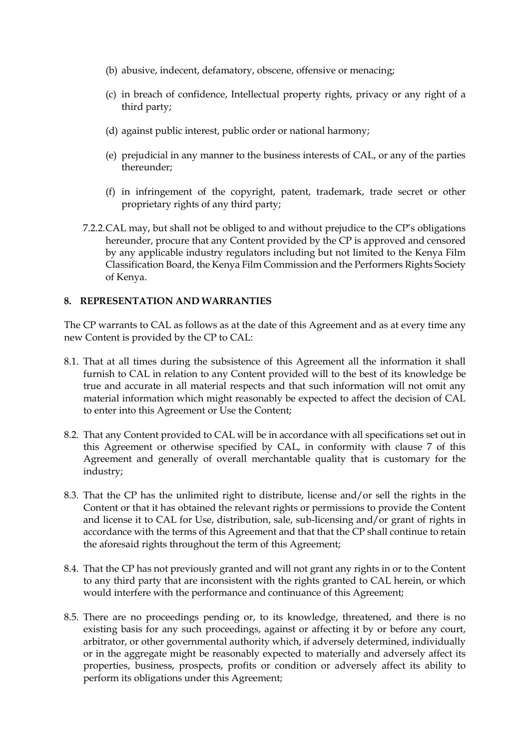- (b) abusive, indecent, defamatory, obscene, offensive or menacing;
- (c) in breach of confidence, Intellectual property rights, privacy or any right of a third party;
- (d) against public interest, public order or national harmony;
- (e) prejudicial in any manner to the business interests of CAL, or any of the parties thereunder;
- (f) in infringement of the copyright, patent, trademark, trade secret or other proprietary rights of any third party;
- 7.2.2.CAL may, but shall not be obliged to and without prejudice to the CP's obligations hereunder, procure that any Content provided by the CP is approved and censored by any applicable industry regulators including but not limited to the Kenya Film Classification Board, the Kenya Film Commission and the Performers Rights Society of Kenya.

# **8. REPRESENTATION AND WARRANTIES**

The CP warrants to CAL as follows as at the date of this Agreement and as at every time any new Content is provided by the CP to CAL:

- 8.1. That at all times during the subsistence of this Agreement all the information it shall furnish to CAL in relation to any Content provided will to the best of its knowledge be true and accurate in all material respects and that such information will not omit any material information which might reasonably be expected to affect the decision of CAL to enter into this Agreement or Use the Content;
- 8.2. That any Content provided to CAL will be in accordance with all specifications set out in this Agreement or otherwise specified by CAL, in conformity with clause 7 of this Agreement and generally of overall merchantable quality that is customary for the industry;
- 8.3. That the CP has the unlimited right to distribute, license and/or sell the rights in the Content or that it has obtained the relevant rights or permissions to provide the Content and license it to CAL for Use, distribution, sale, sub-licensing and/or grant of rights in accordance with the terms of this Agreement and that that the CP shall continue to retain the aforesaid rights throughout the term of this Agreement;
- 8.4. That the CP has not previously granted and will not grant any rights in or to the Content to any third party that are inconsistent with the rights granted to CAL herein, or which would interfere with the performance and continuance of this Agreement;
- 8.5. There are no proceedings pending or, to its knowledge, threatened, and there is no existing basis for any such proceedings, against or affecting it by or before any court, arbitrator, or other governmental authority which, if adversely determined, individually or in the aggregate might be reasonably expected to materially and adversely affect its properties, business, prospects, profits or condition or adversely affect its ability to perform its obligations under this Agreement;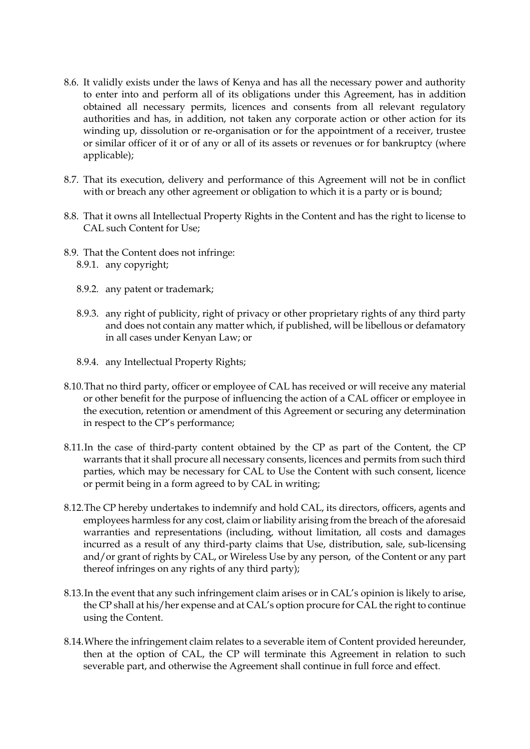- 8.6. It validly exists under the laws of Kenya and has all the necessary power and authority to enter into and perform all of its obligations under this Agreement, has in addition obtained all necessary permits, licences and consents from all relevant regulatory authorities and has, in addition, not taken any corporate action or other action for its winding up, dissolution or re-organisation or for the appointment of a receiver, trustee or similar officer of it or of any or all of its assets or revenues or for bankruptcy (where applicable);
- 8.7. That its execution, delivery and performance of this Agreement will not be in conflict with or breach any other agreement or obligation to which it is a party or is bound;
- 8.8. That it owns all Intellectual Property Rights in the Content and has the right to license to CAL such Content for Use;
- 8.9. That the Content does not infringe: 8.9.1. any copyright;
	- 8.9.2. any patent or trademark;
	- 8.9.3. any right of publicity, right of privacy or other proprietary rights of any third party and does not contain any matter which, if published, will be libellous or defamatory in all cases under Kenyan Law; or
	- 8.9.4. any Intellectual Property Rights;
- 8.10.That no third party, officer or employee of CAL has received or will receive any material or other benefit for the purpose of influencing the action of a CAL officer or employee in the execution, retention or amendment of this Agreement or securing any determination in respect to the CP's performance;
- 8.11.In the case of third-party content obtained by the CP as part of the Content, the CP warrants that it shall procure all necessary consents, licences and permits from such third parties, which may be necessary for CAL to Use the Content with such consent, licence or permit being in a form agreed to by CAL in writing;
- 8.12.The CP hereby undertakes to indemnify and hold CAL, its directors, officers, agents and employees harmless for any cost, claim or liability arising from the breach of the aforesaid warranties and representations (including, without limitation, all costs and damages incurred as a result of any third-party claims that Use, distribution, sale, sub-licensing and/or grant of rights by CAL, or Wireless Use by any person, of the Content or any part thereof infringes on any rights of any third party);
- 8.13.In the event that any such infringement claim arises or in CAL's opinion is likely to arise, the CP shall at his/her expense and at CAL's option procure for CAL the right to continue using the Content.
- 8.14.Where the infringement claim relates to a severable item of Content provided hereunder, then at the option of CAL, the CP will terminate this Agreement in relation to such severable part, and otherwise the Agreement shall continue in full force and effect.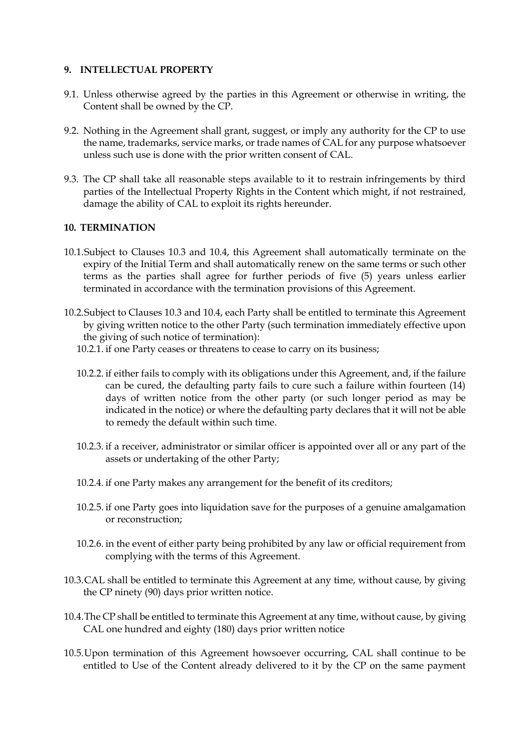## **9. INTELLECTUAL PROPERTY**

- 9.1. Unless otherwise agreed by the parties in this Agreement or otherwise in writing, the Content shall be owned by the CP.
- 9.2. Nothing in the Agreement shall grant, suggest, or imply any authority for the CP to use the name, trademarks, service marks, or trade names of CAL for any purpose whatsoever unless such use is done with the prior written consent of CAL.
- 9.3. The CP shall take all reasonable steps available to it to restrain infringements by third parties of the Intellectual Property Rights in the Content which might, if not restrained, damage the ability of CAL to exploit its rights hereunder.

## **10. TERMINATION**

- 10.1.Subject to Clauses 10.3 and 10.4, this Agreement shall automatically terminate on the expiry of the Initial Term and shall automatically renew on the same terms or such other terms as the parties shall agree for further periods of five (5) years unless earlier terminated in accordance with the termination provisions of this Agreement.
- 10.2.Subject to Clauses 10.3 and 10.4, each Party shall be entitled to terminate this Agreement by giving written notice to the other Party (such termination immediately effective upon the giving of such notice of termination):
	- 10.2.1. if one Party ceases or threatens to cease to carry on its business;
	- 10.2.2. if either fails to comply with its obligations under this Agreement, and, if the failure can be cured, the defaulting party fails to cure such a failure within fourteen (14) days of written notice from the other party (or such longer period as may be indicated in the notice) or where the defaulting party declares that it will not be able to remedy the default within such time.
	- 10.2.3. if a receiver, administrator or similar officer is appointed over all or any part of the assets or undertaking of the other Party;
	- 10.2.4. if one Party makes any arrangement for the benefit of its creditors;
	- 10.2.5. if one Party goes into liquidation save for the purposes of a genuine amalgamation or reconstruction;
	- 10.2.6. in the event of either party being prohibited by any law or official requirement from complying with the terms of this Agreement.
- 10.3.CAL shall be entitled to terminate this Agreement at any time, without cause, by giving the CP ninety (90) days prior written notice.
- 10.4.The CP shall be entitled to terminate this Agreement at any time, without cause, by giving CAL one hundred and eighty (180) days prior written notice
- 10.5.Upon termination of this Agreement howsoever occurring, CAL shall continue to be entitled to Use of the Content already delivered to it by the CP on the same payment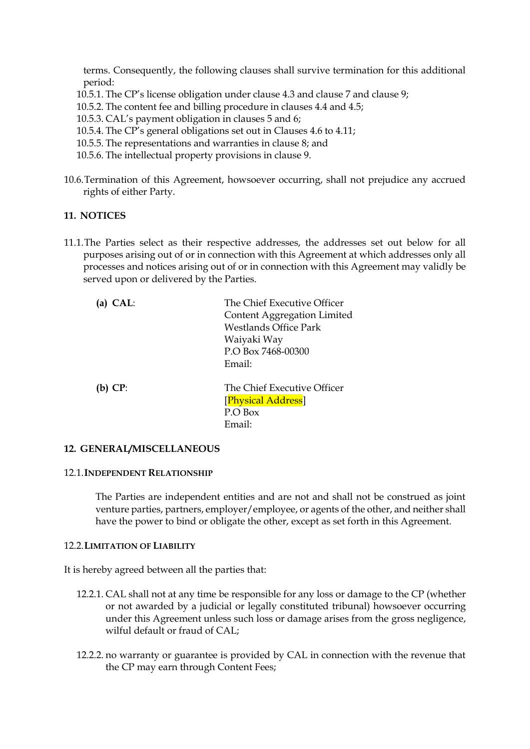terms. Consequently, the following clauses shall survive termination for this additional period:

10.5.1. The CP's license obligation under clause 4.3 and clause 7 and clause 9;

10.5.2. The content fee and billing procedure in clauses 4.4 and 4.5;

10.5.3. CAL's payment obligation in clauses 5 and 6;

- 10.5.4. The CP's general obligations set out in Clauses 4.6 to 4.11;
- 10.5.5. The representations and warranties in clause 8; and
- 10.5.6. The intellectual property provisions in clause 9.
- 10.6.Termination of this Agreement, howsoever occurring, shall not prejudice any accrued rights of either Party.

#### **11. NOTICES**

11.1.The Parties select as their respective addresses, the addresses set out below for all purposes arising out of or in connection with this Agreement at which addresses only all processes and notices arising out of or in connection with this Agreement may validly be served upon or delivered by the Parties.

| CAL:      | The Chief Executive Officer  |
|-----------|------------------------------|
|           | Content Aggregation Limited  |
|           | <b>Westlands Office Park</b> |
|           | Waiyaki Way                  |
|           | P.O Box 7468-00300           |
|           | Email:                       |
| $(b)$ CP: | The Chief Executive Officer  |
|           | [Physical Address]           |
|           | P.O Box                      |
|           | Email:                       |

#### **12. GENERAL/MISCELLANEOUS**

#### 12.1.**INDEPENDENT RELATIONSHIP**

The Parties are independent entities and are not and shall not be construed as joint venture parties, partners, employer/employee, or agents of the other, and neither shall have the power to bind or obligate the other, except as set forth in this Agreement.

# 12.2.**LIMITATION OF LIABILITY**

It is hereby agreed between all the parties that:

- 12.2.1. CAL shall not at any time be responsible for any loss or damage to the CP (whether or not awarded by a judicial or legally constituted tribunal) howsoever occurring under this Agreement unless such loss or damage arises from the gross negligence, wilful default or fraud of CAL;
- 12.2.2. no warranty or guarantee is provided by CAL in connection with the revenue that the CP may earn through Content Fees;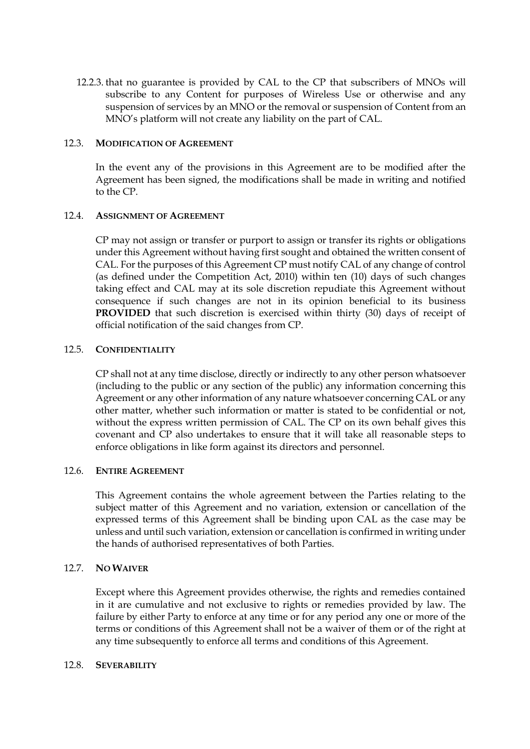12.2.3. that no guarantee is provided by CAL to the CP that subscribers of MNOs will subscribe to any Content for purposes of Wireless Use or otherwise and any suspension of services by an MNO or the removal or suspension of Content from an MNO's platform will not create any liability on the part of CAL.

#### 12.3. **MODIFICATION OF AGREEMENT**

In the event any of the provisions in this Agreement are to be modified after the Agreement has been signed, the modifications shall be made in writing and notified to the CP.

#### 12.4. **ASSIGNMENT OF AGREEMENT**

CP may not assign or transfer or purport to assign or transfer its rights or obligations under this Agreement without having first sought and obtained the written consent of CAL. For the purposes of this Agreement CP must notify CAL of any change of control (as defined under the Competition Act, 2010) within ten (10) days of such changes taking effect and CAL may at its sole discretion repudiate this Agreement without consequence if such changes are not in its opinion beneficial to its business **PROVIDED** that such discretion is exercised within thirty (30) days of receipt of official notification of the said changes from CP.

#### 12.5. **CONFIDENTIALITY**

CP shall not at any time disclose, directly or indirectly to any other person whatsoever (including to the public or any section of the public) any information concerning this Agreement or any other information of any nature whatsoever concerning CAL or any other matter, whether such information or matter is stated to be confidential or not, without the express written permission of CAL. The CP on its own behalf gives this covenant and CP also undertakes to ensure that it will take all reasonable steps to enforce obligations in like form against its directors and personnel.

## 12.6. **ENTIRE AGREEMENT**

This Agreement contains the whole agreement between the Parties relating to the subject matter of this Agreement and no variation, extension or cancellation of the expressed terms of this Agreement shall be binding upon CAL as the case may be unless and until such variation, extension or cancellation is confirmed in writing under the hands of authorised representatives of both Parties.

## 12.7. **NO WAIVER**

Except where this Agreement provides otherwise, the rights and remedies contained in it are cumulative and not exclusive to rights or remedies provided by law. The failure by either Party to enforce at any time or for any period any one or more of the terms or conditions of this Agreement shall not be a waiver of them or of the right at any time subsequently to enforce all terms and conditions of this Agreement.

#### 12.8. **SEVERABILITY**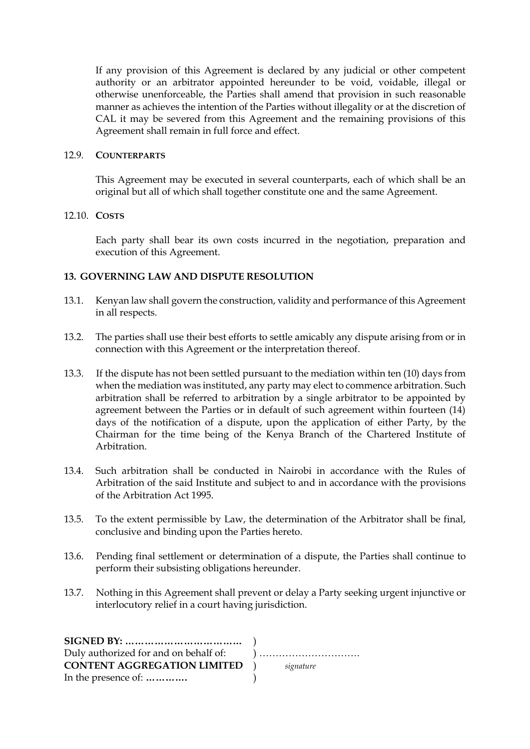If any provision of this Agreement is declared by any judicial or other competent authority or an arbitrator appointed hereunder to be void, voidable, illegal or otherwise unenforceable, the Parties shall amend that provision in such reasonable manner as achieves the intention of the Parties without illegality or at the discretion of CAL it may be severed from this Agreement and the remaining provisions of this Agreement shall remain in full force and effect.

#### 12.9. **COUNTERPARTS**

This Agreement may be executed in several counterparts, each of which shall be an original but all of which shall together constitute one and the same Agreement.

#### 12.10. **COSTS**

Each party shall bear its own costs incurred in the negotiation, preparation and execution of this Agreement.

## **13. GOVERNING LAW AND DISPUTE RESOLUTION**

- 13.1. Kenyan law shall govern the construction, validity and performance of this Agreement in all respects.
- 13.2. The parties shall use their best efforts to settle amicably any dispute arising from or in connection with this Agreement or the interpretation thereof.
- 13.3. If the dispute has not been settled pursuant to the mediation within ten (10) days from when the mediation was instituted, any party may elect to commence arbitration. Such arbitration shall be referred to arbitration by a single arbitrator to be appointed by agreement between the Parties or in default of such agreement within fourteen (14) days of the notification of a dispute, upon the application of either Party, by the Chairman for the time being of the Kenya Branch of the Chartered Institute of Arbitration.
- 13.4. Such arbitration shall be conducted in Nairobi in accordance with the Rules of Arbitration of the said Institute and subject to and in accordance with the provisions of the Arbitration Act 1995.
- 13.5. To the extent permissible by Law, the determination of the Arbitrator shall be final, conclusive and binding upon the Parties hereto.
- 13.6. Pending final settlement or determination of a dispute, the Parties shall continue to perform their subsisting obligations hereunder.
- 13.7. Nothing in this Agreement shall prevent or delay a Party seeking urgent injunctive or interlocutory relief in a court having jurisdiction.

| $SIGNED BY: \dots \dots \dots \dots \dots \dots \dots \dots \dots \dots$ |  |
|--------------------------------------------------------------------------|--|
|                                                                          |  |
| <b>CONTENT AGGREGATION LIMITED</b> ) signature                           |  |
| In the presence of:                                                      |  |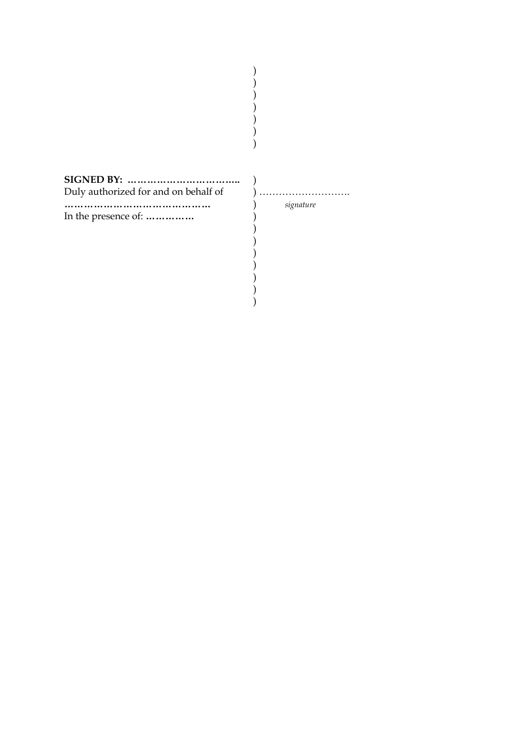| <b>SIGNED BY: </b><br>Duly authorized for and on behalf of | signature |
|------------------------------------------------------------|-----------|
| In the presence of:                                        |           |

) )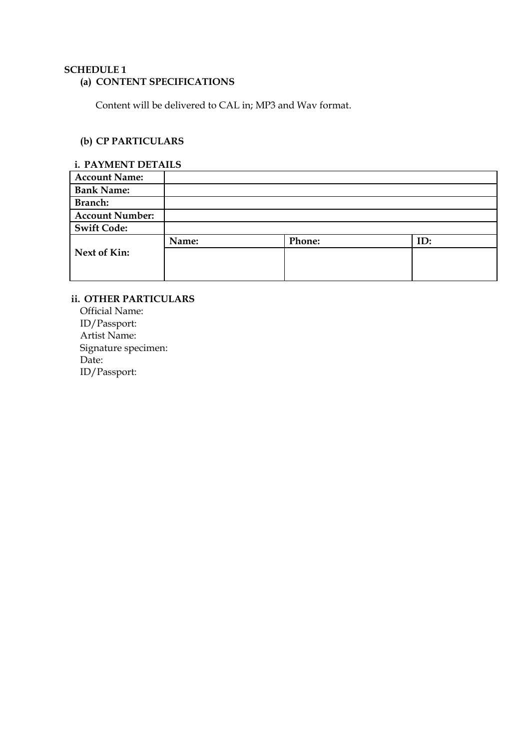## **SCHEDULE 1**

# **(a) CONTENT SPECIFICATIONS**

Content will be delivered to CAL in; MP3 and Wav format.

# **(b) CP PARTICULARS**

## **i. PAYMENT DETAILS**

| <b>Account Name:</b>   |       |        |     |
|------------------------|-------|--------|-----|
| <b>Bank Name:</b>      |       |        |     |
| Branch:                |       |        |     |
| <b>Account Number:</b> |       |        |     |
| <b>Swift Code:</b>     |       |        |     |
|                        | Name: | Phone: | ID: |
| Next of Kin:           |       |        |     |
|                        |       |        |     |
|                        |       |        |     |

# **ii. OTHER PARTICULARS**

Official Name: ID/Passport: Artist Name: Signature specimen: Date: ID/Passport: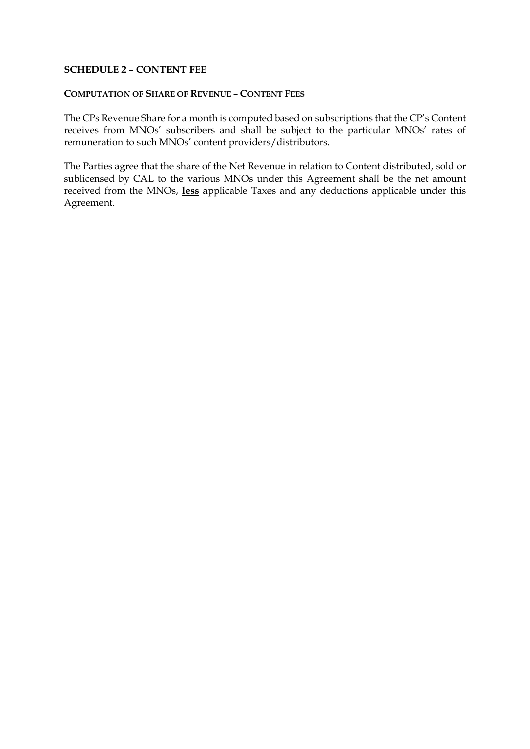## **SCHEDULE 2 – CONTENT FEE**

## **COMPUTATION OF SHARE OF REVENUE – CONTENT FEES**

The CPs Revenue Share for a month is computed based on subscriptions that the CP's Content receives from MNOs' subscribers and shall be subject to the particular MNOs' rates of remuneration to such MNOs' content providers/distributors.

The Parties agree that the share of the Net Revenue in relation to Content distributed, sold or sublicensed by CAL to the various MNOs under this Agreement shall be the net amount received from the MNOs, **less** applicable Taxes and any deductions applicable under this Agreement.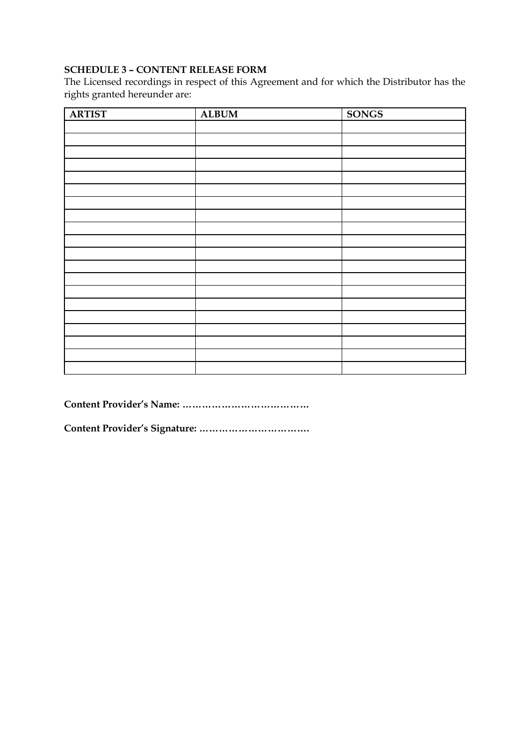# **SCHEDULE 3 – CONTENT RELEASE FORM**

The Licensed recordings in respect of this Agreement and for which the Distributor has the rights granted hereunder are:

| <b>ARTIST</b> | <b>ALBUM</b> | <b>SONGS</b> |
|---------------|--------------|--------------|
|               |              |              |
|               |              |              |
|               |              |              |
|               |              |              |
|               |              |              |
|               |              |              |
|               |              |              |
|               |              |              |
|               |              |              |
|               |              |              |
|               |              |              |
|               |              |              |
|               |              |              |
|               |              |              |
|               |              |              |
|               |              |              |
|               |              |              |
|               |              |              |
|               |              |              |
|               |              |              |

**Content Provider's Name: …………………………………**

**Content Provider's Signature: …………………………….**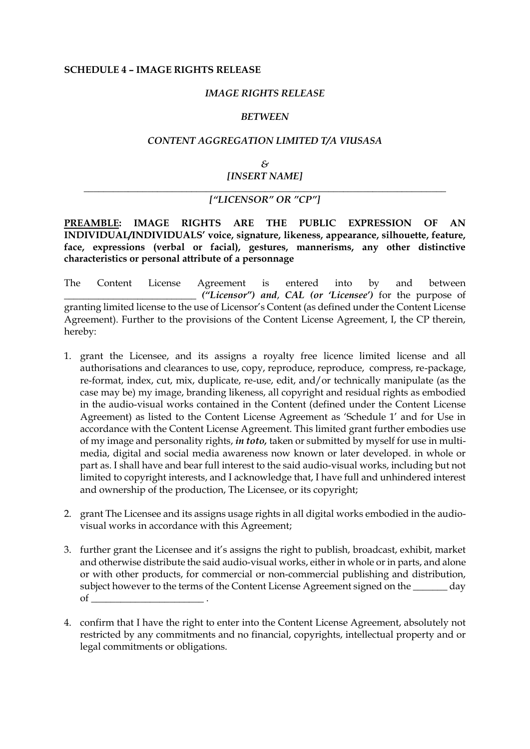#### **SCHEDULE 4 – IMAGE RIGHTS RELEASE**

#### *IMAGE RIGHTS RELEASE*

#### *BETWEEN*

#### *CONTENT AGGREGATION LIMITED T/A VIUSASA*

*& [INSERT NAME]*

#### *\_\_\_\_\_\_\_\_\_\_\_\_\_\_\_\_\_\_\_\_\_\_\_\_\_\_\_\_\_\_\_\_\_\_\_\_\_\_\_\_\_\_\_\_\_\_\_\_\_\_\_\_\_\_\_\_\_\_\_\_\_\_\_\_\_\_\_\_\_\_\_\_\_\_ ["LICENSOR" OR "CP"]*

**PREAMBLE: IMAGE RIGHTS ARE THE PUBLIC EXPRESSION OF AN INDIVIDUAL/INDIVIDUALS' voice, signature, likeness, appearance, silhouette, feature, face, expressions (verbal or facial), gestures, mannerisms, any other distinctive characteristics or personal attribute of a personnage**

The Content License Agreement is entered into by and between *\_\_\_\_\_\_\_\_\_\_\_\_\_\_\_\_\_\_\_\_\_\_\_\_\_\_\_ ("Licensor") and*, *CAL (or 'Licensee')* for the purpose of granting limited license to the use of Licensor's Content (as defined under the Content License Agreement). Further to the provisions of the Content License Agreement, I, the CP therein, hereby:

- 1. grant the Licensee, and its assigns a royalty free licence limited license and all authorisations and clearances to use, copy, reproduce, reproduce, compress, re-package, re-format, index, cut, mix, duplicate, re-use, edit, and/or technically manipulate (as the case may be) my image, branding likeness, all copyright and residual rights as embodied in the audio-visual works contained in the Content (defined under the Content License Agreement) as listed to the Content License Agreement as 'Schedule 1' and for Use in accordance with the Content License Agreement. This limited grant further embodies use of my image and personality rights, *in toto,* taken or submitted by myself for use in multimedia, digital and social media awareness now known or later developed. in whole or part as. I shall have and bear full interest to the said audio-visual works, including but not limited to copyright interests, and I acknowledge that, I have full and unhindered interest and ownership of the production, The Licensee, or its copyright;
- 2. grant The Licensee and its assigns usage rights in all digital works embodied in the audiovisual works in accordance with this Agreement;
- 3. further grant the Licensee and it's assigns the right to publish, broadcast, exhibit, market and otherwise distribute the said audio-visual works, either in whole or in parts, and alone or with other products, for commercial or non-commercial publishing and distribution, subject however to the terms of the Content License Agreement signed on the \_\_\_\_\_\_\_ day  $of$
- 4. confirm that I have the right to enter into the Content License Agreement, absolutely not restricted by any commitments and no financial, copyrights, intellectual property and or legal commitments or obligations.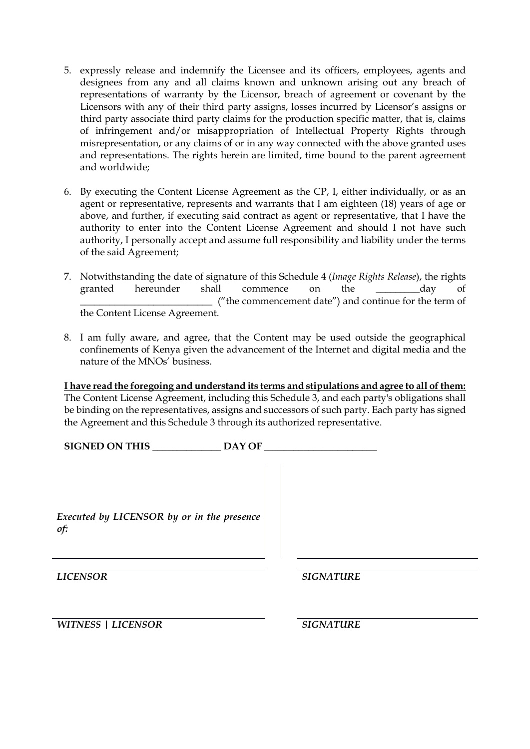- 5. expressly release and indemnify the Licensee and its officers, employees, agents and designees from any and all claims known and unknown arising out any breach of representations of warranty by the Licensor, breach of agreement or covenant by the Licensors with any of their third party assigns, losses incurred by Licensor's assigns or third party associate third party claims for the production specific matter, that is, claims of infringement and/or misappropriation of Intellectual Property Rights through misrepresentation, or any claims of or in any way connected with the above granted uses and representations. The rights herein are limited, time bound to the parent agreement and worldwide;
- 6. By executing the Content License Agreement as the CP, I, either individually, or as an agent or representative, represents and warrants that I am eighteen (18) years of age or above, and further, if executing said contract as agent or representative, that I have the authority to enter into the Content License Agreement and should I not have such authority, I personally accept and assume full responsibility and liability under the terms of the said Agreement;
- 7. Notwithstanding the date of signature of this Schedule 4 (*Image Rights Release*), the rights granted hereunder shall commence on the \_\_\_\_\_\_\_\_\_day of \_\_\_\_\_\_\_\_\_\_\_\_\_\_\_\_\_\_\_\_\_\_\_\_\_\_\_ ("the commencement date") and continue for the term of the Content License Agreement.
- 8. I am fully aware, and agree, that the Content may be used outside the geographical confinements of Kenya given the advancement of the Internet and digital media and the nature of the MNOs' business.

**I have read the foregoing and understand its terms and stipulations and agree to all of them:** The Content License Agreement, including this Schedule 3, and each party's obligations shall be binding on the representatives, assigns and successors of such party. Each party has signed the Agreement and this Schedule 3 through its authorized representative.

| SIGNED ON THIS                                    | DAY OF           |  |
|---------------------------------------------------|------------------|--|
| Executed by LICENSOR by or in the presence<br>of: |                  |  |
| <b>LICENSOR</b>                                   | <b>SIGNATURE</b> |  |
| <b>WITNESS   LICENSOR</b>                         | <b>SIGNATURE</b> |  |